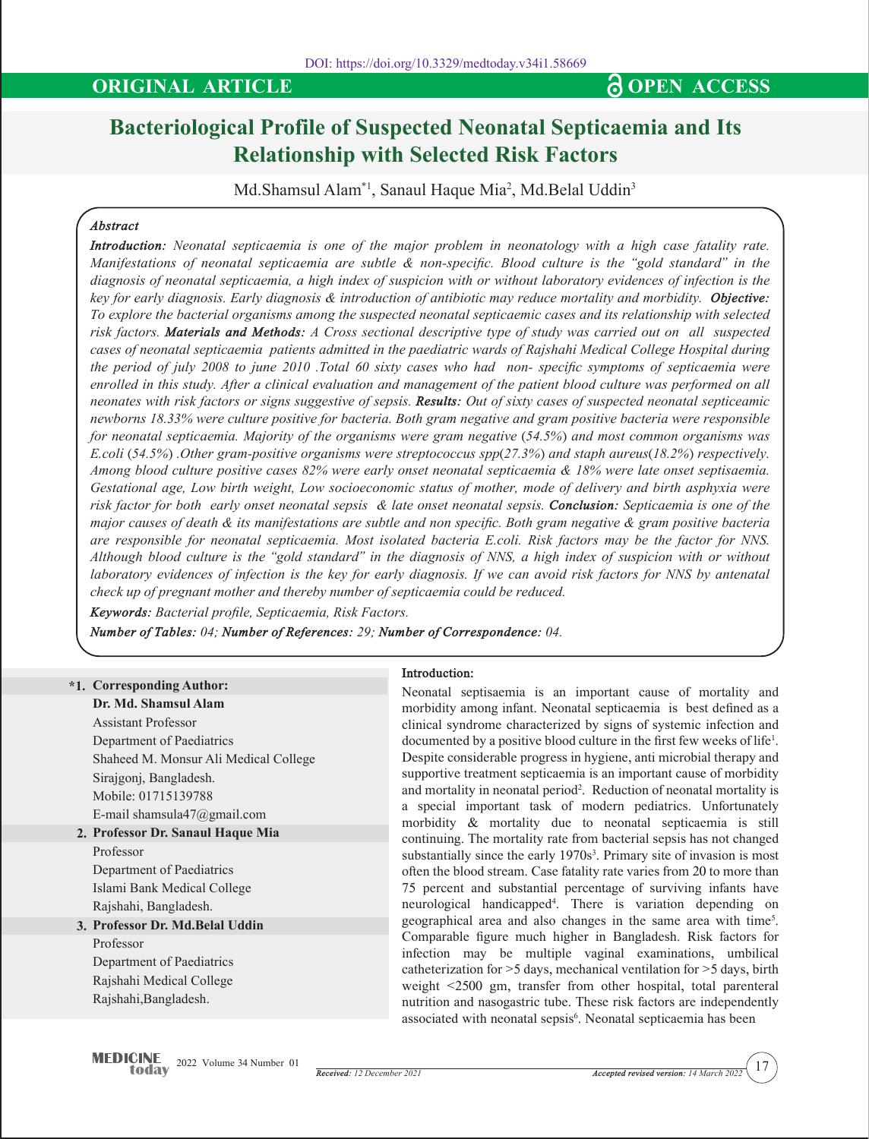## **ORIGINAL ARTICLE CONSERVANT AND SOME ACCESS**

# **Bacteriological Profile of Suspected Neonatal Septicaemia and Its Relationship with Selected Risk Factors**

Md.Shamsul Alam $^*$ l, Sanaul Haque Mia<sup>2</sup>, Md.Belal Uddin<sup>3</sup>

### *Abstract*

*Introduction: Neonatal septicaemia is one of the major problem in neonatology with a high case fatality rate. Manifestations of neonatal septicaemia are subtle & non-specific. Blood culture is the "gold standard" in the diagnosis of neonatal septicaemia, a high index of suspicion with or without laboratory evidences of infection is the key for early diagnosis. Early diagnosis & introduction of antibiotic may reduce mortality and morbidity. Objective: To explore the bacterial organisms among the suspected neonatal septicaemic cases and its relationship with selected risk factors. Materials and Methods: A Cross sectional descriptive type of study was carried out on all suspected cases of neonatal septicaemia patients admitted in the paediatric wards of Rajshahi Medical College Hospital during the period of july 2008 to june 2010 .Total 60 sixty cases who had non- specific symptoms of septicaemia were enrolled in this study. After a clinical evaluation and management of the patient blood culture was performed on all neonates with risk factors or signs suggestive of sepsis. Results: Out of sixty cases of suspected neonatal septiceamic newborns 18.33% were culture positive for bacteria. Both gram negative and gram positive bacteria were responsible for neonatal septicaemia. Majority of the organisms were gram negative (54.5%) and most common organisms was E.coli (54.5%) .Other gram-positive organisms were streptococcus spp(27.3%) and staph aureus(18.2%) respectively. Among blood culture positive cases 82% were early onset neonatal septicaemia & 18% were late onset septisaemia. Gestational age, Low birth weight, Low socioeconomic status of mother, mode of delivery and birth asphyxia were risk factor for both early onset neonatal sepsis & late onset neonatal sepsis. Conclusion: Septicaemia is one of the major causes of death & its manifestations are subtle and non specific. Both gram negative & gram positive bacteria are responsible for neonatal septicaemia. Most isolated bacteria E.coli. Risk factors may be the factor for NNS. Although blood culture is the "gold standard" in the diagnosis of NNS, a high index of suspicion with or without laboratory evidences of infection is the key for early diagnosis. If we can avoid risk factors for NNS by antenatal check up of pregnant mother and thereby number of septicaemia could be reduced.*

*Keywords: Bacterial profile, Septicaemia, Risk Factors.*

*Number of Tables: 04; Number of References: 29; Number of Correspondence: 04.*

### **Introduction:**

**\*1. Corresponding Author:**

**2. Professor Dr. Sanaul Haque Mia Dr. Md. Shamsul Alam** Assistant Professor Department of Paediatrics Shaheed M. Monsur Ali Medical College Sirajgonj, Bangladesh. Mobile: 01715139788 E-mail shamsula47@gmail.com Professor

Department of Paediatrics Islami Bank Medical College Rajshahi, Bangladesh.

**3. Professor Dr. Md.Belal Uddin** Professor Department of Paediatrics

Rajshahi Medical College Rajshahi,Bangladesh.

Neonatal septisaemia is an important cause of mortality and morbidity among infant. Neonatal septicaemia is best defined as a clinical syndrome characterized by signs of systemic infection and documented by a positive blood culture in the first few weeks of life<sup>1</sup> . Despite considerable progress in hygiene, anti microbial therapy and supportive treatment septicaemia is an important cause of morbidity and mortality in neonatal period<sup>2</sup>. Reduction of neonatal mortality is a special important task of modern pediatrics. Unfortunately morbidity & mortality due to neonatal septicaemia is still continuing. The mortality rate from bacterial sepsis has not changed substantially since the early 1970s<sup>3</sup>. Primary site of invasion is most often the blood stream. Case fatality rate varies from 20 to more than 75 percent and substantial percentage of surviving infants have neurological handicapped4 . There is variation depending on geographical area and also changes in the same area with time5 . Comparable figure much higher in Bangladesh. Risk factors for infection may be multiple vaginal examinations, umbilical catheterization for >5 days, mechanical ventilation for >5 days, birth weight <2500 gm, transfer from other hospital, total parenteral nutrition and nasogastric tube. These risk factors are independently associated with neonatal sepsis<sup>6</sup>. Neonatal septicaemia has been

17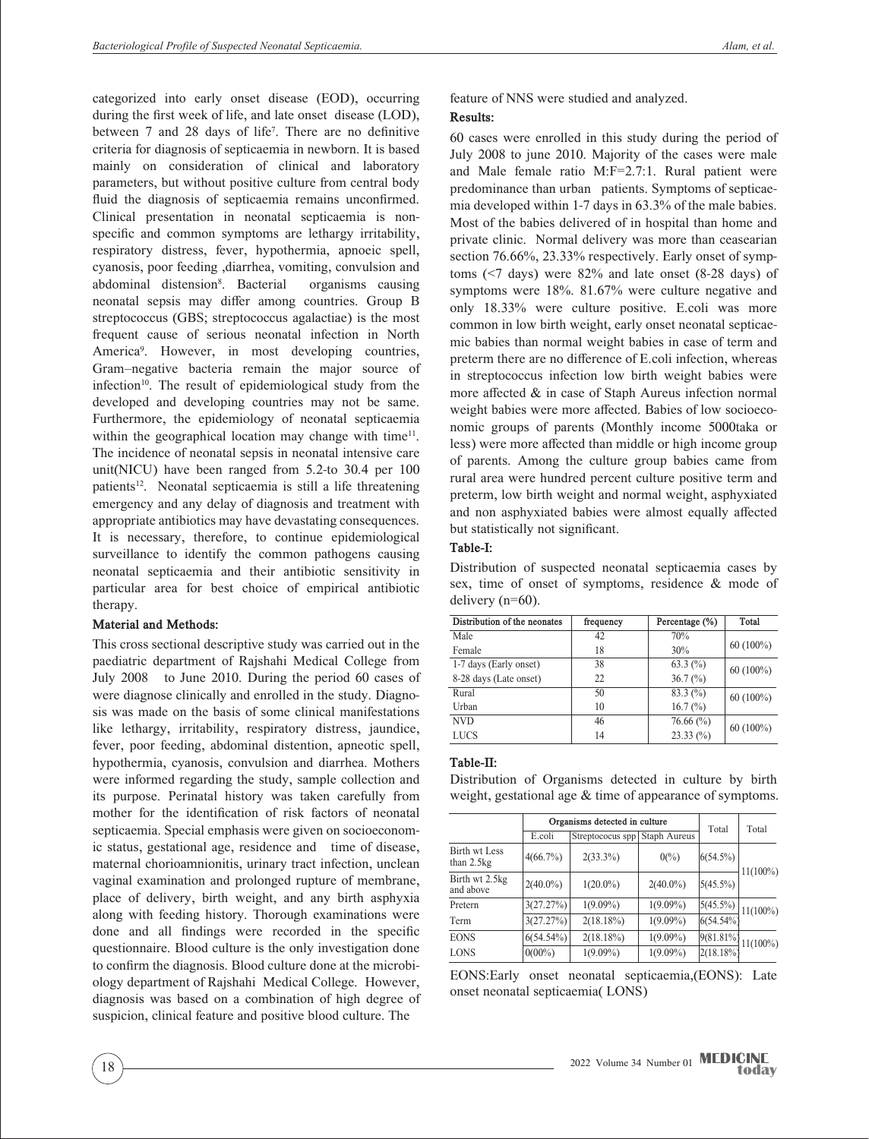categorized into early onset disease (EOD), occurring during the first week of life, and late onset disease (LOD), between 7 and 28 days of life<sup>7</sup>. There are no definitive criteria for diagnosis of septicaemia in newborn. It is based mainly on consideration of clinical and laboratory parameters, but without positive culture from central body fluid the diagnosis of septicaemia remains unconfirmed. Clinical presentation in neonatal septicaemia is nonspecific and common symptoms are lethargy irritability, respiratory distress, fever, hypothermia, apnoeic spell, cyanosis, poor feeding ,diarrhea, vomiting, convulsion and abdominal distension<sup>8</sup>. Bacterial organisms causing neonatal sepsis may differ among countries. Group B streptococcus (GBS; streptococcus agalactiae) is the most frequent cause of serious neonatal infection in North America<sup>9</sup>. However, in most developing countries, Gram–negative bacteria remain the major source of infection<sup>10</sup>. The result of epidemiological study from the developed and developing countries may not be same. Furthermore, the epidemiology of neonatal septicaemia within the geographical location may change with time<sup>11</sup>. The incidence of neonatal sepsis in neonatal intensive care unit(NICU) have been ranged from 5.2-to 30.4 per 100 patients<sup>12</sup>. Neonatal septicaemia is still a life threatening emergency and any delay of diagnosis and treatment with appropriate antibiotics may have devastating consequences. It is necessary, therefore, to continue epidemiological surveillance to identify the common pathogens causing neonatal septicaemia and their antibiotic sensitivity in particular area for best choice of empirical antibiotic therapy.

### **Material and Methods:**

This cross sectional descriptive study was carried out in the paediatric department of Rajshahi Medical College from July 2008 to June 2010. During the period 60 cases of were diagnose clinically and enrolled in the study. Diagnosis was made on the basis of some clinical manifestations like lethargy, irritability, respiratory distress, jaundice, fever, poor feeding, abdominal distention, apneotic spell, hypothermia, cyanosis, convulsion and diarrhea. Mothers were informed regarding the study, sample collection and its purpose. Perinatal history was taken carefully from mother for the identification of risk factors of neonatal septicaemia. Special emphasis were given on socioeconomic status, gestational age, residence and time of disease, maternal chorioamnionitis, urinary tract infection, unclean vaginal examination and prolonged rupture of membrane, place of delivery, birth weight, and any birth asphyxia along with feeding history. Thorough examinations were done and all findings were recorded in the specific questionnaire. Blood culture is the only investigation done to confirm the diagnosis. Blood culture done at the microbiology department of Rajshahi Medical College. However, diagnosis was based on a combination of high degree of suspicion, clinical feature and positive blood culture. The

### feature of NNS were studied and analyzed. **Results:**

60 cases were enrolled in this study during the period of July 2008 to june 2010. Majority of the cases were male and Male female ratio M:F=2.7:1. Rural patient were predominance than urban patients. Symptoms of septicaemia developed within 1-7 days in 63.3% of the male babies. Most of the babies delivered of in hospital than home and private clinic. Normal delivery was more than ceasearian section 76.66%, 23.33% respectively. Early onset of symptoms (<7 days) were 82% and late onset (8-28 days) of symptoms were 18%. 81.67% were culture negative and only 18.33% were culture positive. E.coli was more common in low birth weight, early onset neonatal septicaemic babies than normal weight babies in case of term and preterm there are no difference of E.coli infection, whereas in streptococcus infection low birth weight babies were more affected & in case of Staph Aureus infection normal weight babies were more affected. Babies of low socioeconomic groups of parents (Monthly income 5000taka or less) were more affected than middle or high income group of parents. Among the culture group babies came from rural area were hundred percent culture positive term and preterm, low birth weight and normal weight, asphyxiated and non asphyxiated babies were almost equally affected but statistically not significant.

### **Table-I:**

Distribution of suspected neonatal septicaemia cases by sex, time of onset of symptoms, residence & mode of delivery (n=60).

| Distribution of the neonates | frequency | Percentage (%)       | Total       |
|------------------------------|-----------|----------------------|-------------|
| Male                         | 42        | 70%                  |             |
| Female                       | 18        | 30%                  | $60(100\%)$ |
| 1-7 days (Early onset)       | 38        | 63.3 $(\% )$         | $60(100\%)$ |
| 8-28 days (Late onset)       | 22        | $36.7\,(^{\circ}\%)$ |             |
| Rural                        | 50        | $83.3\ (%)$          | $60(100\%)$ |
| Urban                        | 10        | 16.7 $(\%)$          |             |
| <b>NVD</b>                   | 46        | $76.66\,(%)$         | $60(100\%)$ |
| <b>LUCS</b>                  | 14        | $23.33\,(%)$         |             |

### **Table-II:**

Distribution of Organisms detected in culture by birth weight, gestational age  $&$  time of appearance of symptoms.

|                               | Organisms detected in culture |                  |                       |                             |             |
|-------------------------------|-------------------------------|------------------|-----------------------|-----------------------------|-------------|
|                               | E.coli                        | Streptococus spp | <b>Staph Aureus</b>   | Total                       | Total       |
| Birth wt Less<br>than $2.5kg$ | $4(66.7\%)$                   | $2(33.3\%)$      | $0\frac{\gamma_0}{2}$ | $6(54.5\%)$                 |             |
| Birth wt 2.5kg<br>and above   | $2(40.0\%)$                   | $1(20.0\%)$      | $2(40.0\%)$           | $5(45.5\%)$                 | $11(100\%)$ |
| Pretern                       | 3(27.27%)                     | $1(9.09\%)$      | $1(9.09\%)$           | $\sqrt{5(45.5\%)}$ 11(100%) |             |
| Term                          | 3(27.27%)                     | $2(18.18\%)$     | $1(9.09\%)$           | 6(54.54%                    |             |
| <b>EONS</b>                   | $6(54.54\%)$                  | $2(18.18\%)$     | $1(9.09\%)$           | 9(81.81%)                   | $11(100\%)$ |
| <b>LONS</b>                   | $0(00\%)$                     | $1(9.09\%)$      | $1(9.09\%)$           | 2(18.18%)                   |             |

EONS:Early onset neonatal septicaemia,(EONS): Late onset neonatal septicaemia( LONS)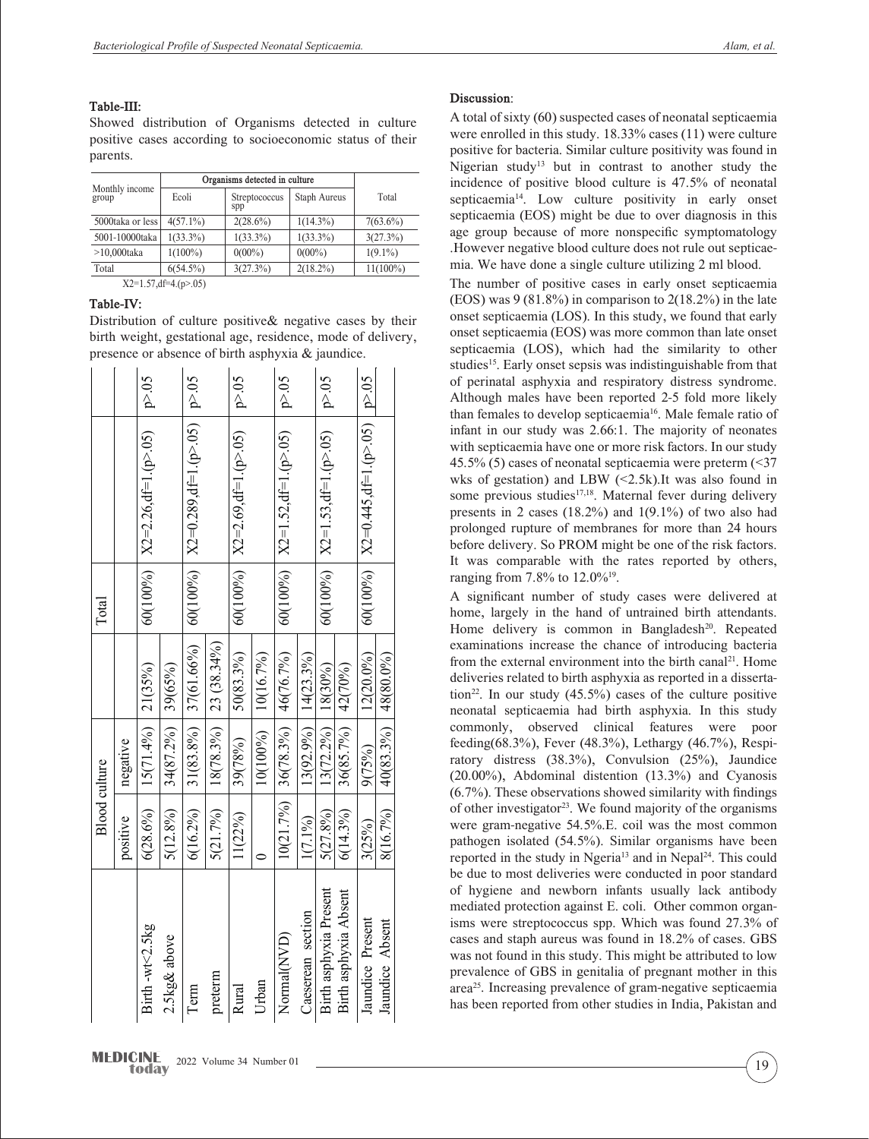**Table-III:**

Showed distribution of Organisms detected in culture positive cases according to socioeconomic status of their parents.

| Monthly income<br>group | Organisms detected in culture |                      |              |             |
|-------------------------|-------------------------------|----------------------|--------------|-------------|
|                         | Ecoli                         | Streptococcus<br>spp | Staph Aureus | Total       |
| 5000taka or less        | $4(57.1\%)$                   | $2(28.6\%)$          | $1(14.3\%)$  | $7(63.6\%)$ |
| 5001-10000taka          | $1(33.3\%)$                   | $1(33.3\%)$          | $1(33.3\%)$  | 3(27.3%)    |
| $>10,000$ taka          | $1(100\%)$                    | $0(00\%)$            | $0(00\%)$    | $1(9.1\%)$  |
| Total                   | $6(54.5\%)$                   | 3(27.3%)             | $2(18.2\%)$  | $11(100\%)$ |
|                         | $X2=1.57$ , df=4.(p>.05)      |                      |              |             |

## **Table-IV:**

Distribution of culture positive& negative cases by their birth weight, gestational age, residence, mode of delivery, presence or absence of birth asphyxia & jaundice.

### **MEDICINE** 2022 Volume 34 Number 01 (19) todav

### **Discussion**:

A total of sixty (60) suspected cases of neonatal septicaemia were enrolled in this study. 18.33% cases (11) were culture positive for bacteria. Similar culture positivity was found in Nigerian study<sup>13</sup> but in contrast to another study the incidence of positive blood culture is 47.5% of neonatal septicaemia<sup>14</sup>. Low culture positivity in early onset septicaemia (EOS) might be due to over diagnosis in this age group because of more nonspecific symptomatology .However negative blood culture does not rule out septicaemia. We have done a single culture utilizing 2 ml blood.

The number of positive cases in early onset septicaemia (EOS) was  $9(81.8\%)$  in comparison to  $2(18.2\%)$  in the late onset septicaemia (LOS). In this study, we found that early onset septicaemia (EOS) was more common than late onset septicaemia (LOS), which had the similarity to other studies<sup>15</sup>. Early onset sepsis was indistinguishable from that of perinatal asphyxia and respiratory distress syndrome. Although males have been reported 2-5 fold more likely than females to develop septicaemia<sup>16</sup>. Male female ratio of infant in our study was 2.66:1. The majority of neonates with septicaemia have one or more risk factors. In our study 45.5% (5) cases of neonatal septicaemia were preterm (<37 wks of gestation) and LBW  $(\leq 2.5k)$ . It was also found in some previous studies<sup>17,18</sup>. Maternal fever during delivery presents in 2 cases (18.2%) and 1(9.1%) of two also had prolonged rupture of membranes for more than 24 hours before delivery. So PROM might be one of the risk factors. It was comparable with the rates reported by others, ranging from 7.8% to 12.0%19.

A significant number of study cases were delivered at home, largely in the hand of untrained birth attendants. Home delivery is common in Bangladesh<sup>20</sup>. Repeated examinations increase the chance of introducing bacteria from the external environment into the birth canal<sup>21</sup>. Home deliveries related to birth asphyxia as reported in a dissertation<sup>22</sup>. In our study  $(45.5\%)$  cases of the culture positive neonatal septicaemia had birth asphyxia. In this study commonly, observed clinical features were poor feeding(68.3%), Fever (48.3%), Lethargy (46.7%), Respiratory distress (38.3%), Convulsion (25%), Jaundice (20.00%), Abdominal distention (13.3%) and Cyanosis (6.7%). These observations showed similarity with findings of other investigator<sup>23</sup>. We found majority of the organisms were gram-negative 54.5%.E. coil was the most common pathogen isolated (54.5%). Similar organisms have been reported in the study in Ngeria<sup>13</sup> and in Nepal<sup>24</sup>. This could be due to most deliveries were conducted in poor standard of hygiene and newborn infants usually lack antibody mediated protection against E. coli. Other common organisms were streptococcus spp. Which was found 27.3% of cases and staph aureus was found in 18.2% of cases. GBS was not found in this study. This might be attributed to low prevalence of GBS in genitalia of pregnant mother in this area25. Increasing prevalence of gram-negative septicaemia has been reported from other studies in India, Pakistan and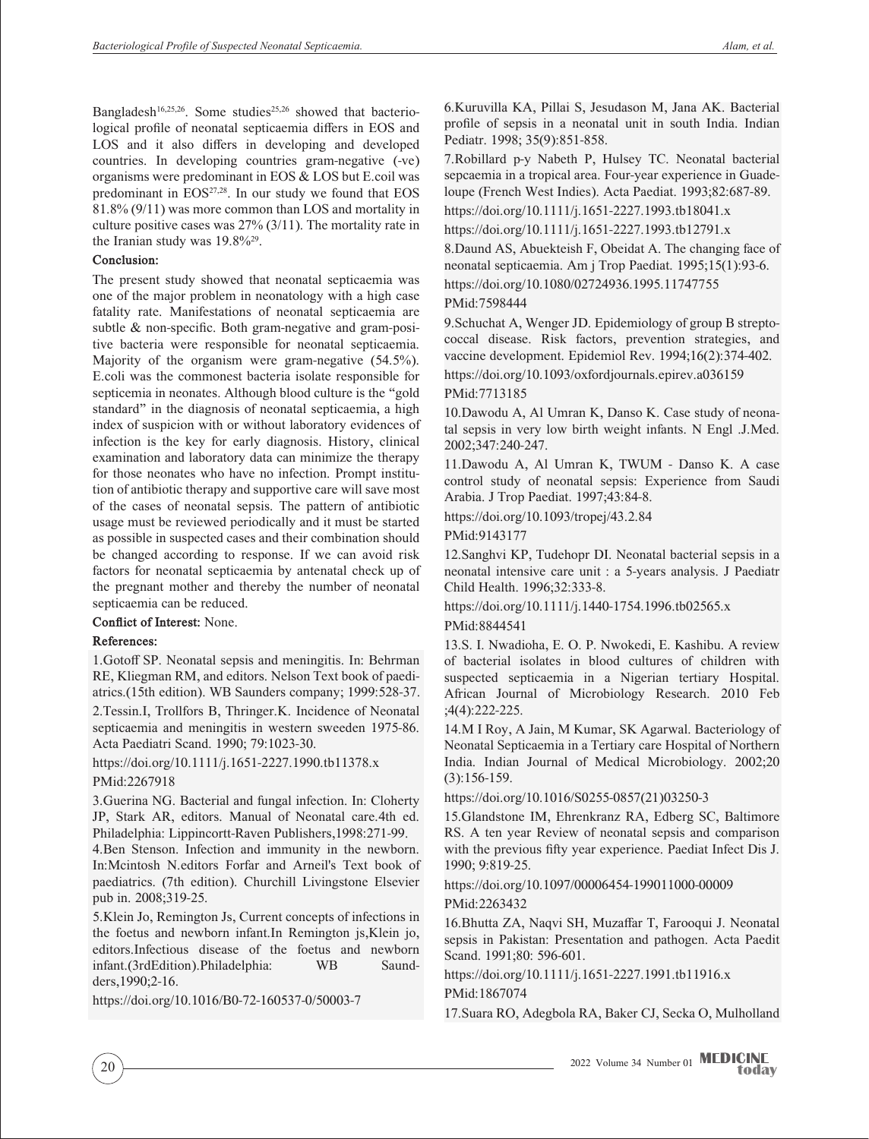Bangladesh<sup>16,25,26</sup>. Some studies<sup>25,26</sup> showed that bacteriological profile of neonatal septicaemia differs in EOS and LOS and it also differs in developing and developed countries. In developing countries gram-negative (-ve) organisms were predominant in EOS & LOS but E.coil was predominant in EOS<sup>27,28</sup>. In our study we found that EOS 81.8% (9/11) was more common than LOS and mortality in culture positive cases was 27% (3/11). The mortality rate in the Iranian study was 19.8%<sup>29</sup>.

### **Conclusion:**

The present study showed that neonatal septicaemia was one of the major problem in neonatology with a high case fatality rate. Manifestations of neonatal septicaemia are subtle & non-specific. Both gram-negative and gram-positive bacteria were responsible for neonatal septicaemia. Majority of the organism were gram-negative (54.5%). E.coli was the commonest bacteria isolate responsible for septicemia in neonates. Although blood culture is the "gold standard" in the diagnosis of neonatal septicaemia, a high index of suspicion with or without laboratory evidences of infection is the key for early diagnosis. History, clinical examination and laboratory data can minimize the therapy for those neonates who have no infection. Prompt institution of antibiotic therapy and supportive care will save most of the cases of neonatal sepsis. The pattern of antibiotic usage must be reviewed periodically and it must be started as possible in suspected cases and their combination should be changed according to response. If we can avoid risk factors for neonatal septicaemia by antenatal check up of the pregnant mother and thereby the number of neonatal septicaemia can be reduced.

### **Conflict of Interest:** None.

### **References:**

1.Gotoff SP. Neonatal sepsis and meningitis. In: Behrman RE, Kliegman RM, and editors. Nelson Text book of paediatrics.(15th edition). WB Saunders company; 1999:528-37.

2.Tessin.I, Trollfors B, Thringer.K. Incidence of Neonatal septicaemia and meningitis in western sweeden 1975-86. Acta Paediatri Scand. 1990; 79:1023-30.

https://doi.org/10.1111/j.1651-2227.1990.tb11378.x PMid:2267918

3.Guerina NG. Bacterial and fungal infection. In: Cloherty JP, Stark AR, editors. Manual of Neonatal care.4th ed. Philadelphia: Lippincortt-Raven Publishers,1998:271-99.

4.Ben Stenson. Infection and immunity in the newborn. In:Mcintosh N.editors Forfar and Arneil's Text book of paediatrics. (7th edition). Churchill Livingstone Elsevier pub in. 2008;319-25.

5.Klein Jo, Remington Js, Current concepts of infections in the foetus and newborn infant.In Remington js,Klein jo, editors.Infectious disease of the foetus and newborn infant.(3rdEdition).Philadelphia: WB Saundders,1990;2-16.

https://doi.org/10.1016/B0-72-160537-0/50003-7

6.Kuruvilla KA, Pillai S, Jesudason M, Jana AK. Bacterial profile of sepsis in a neonatal unit in south India. Indian Pediatr. 1998; 35(9):851-858.

7.Robillard p-y Nabeth P, Hulsey TC. Neonatal bacterial sepcaemia in a tropical area. Four-year experience in Guadeloupe (French West Indies). Acta Paediat. 1993;82:687-89. https://doi.org/10.1111/j.1651-2227.1993.tb18041.x

https://doi.org/10.1111/j.1651-2227.1993.tb12791.x

8.Daund AS, Abuekteish F, Obeidat A. The changing face of neonatal septicaemia. Am j Trop Paediat. 1995;15(1):93-6. https://doi.org/10.1080/02724936.1995.11747755

### PMid:7598444

9.Schuchat A, Wenger JD. Epidemiology of group B streptococcal disease. Risk factors, prevention strategies, and vaccine development. Epidemiol Rev. 1994;16(2):374-402.

https://doi.org/10.1093/oxfordjournals.epirev.a036159

### PMid:7713185

10.Dawodu A, Al Umran K, Danso K. Case study of neonatal sepsis in very low birth weight infants. N Engl .J.Med. 2002;347:240-247.

11.Dawodu A, Al Umran K, TWUM - Danso K. A case control study of neonatal sepsis: Experience from Saudi Arabia. J Trop Paediat. 1997;43:84-8.

https://doi.org/10.1093/tropej/43.2.84

PMid:9143177

12.Sanghvi KP, Tudehopr DI. Neonatal bacterial sepsis in a neonatal intensive care unit : a 5-years analysis. J Paediatr Child Health. 1996;32:333-8.

https://doi.org/10.1111/j.1440-1754.1996.tb02565.x

### PMid:8844541

13.S. I. Nwadioha, E. O. P. Nwokedi, E. Kashibu. A review of bacterial isolates in blood cultures of children with suspected septicaemia in a Nigerian tertiary Hospital. African Journal of Microbiology Research. 2010 Feb ;4(4):222-225.

14.M I Roy, A Jain, M Kumar, SK Agarwal. Bacteriology of Neonatal Septicaemia in a Tertiary care Hospital of Northern India. Indian Journal of Medical Microbiology. 2002;20 (3):156-159.

https://doi.org/10.1016/S0255-0857(21)03250-3

15.Glandstone IM, Ehrenkranz RA, Edberg SC, Baltimore RS. A ten year Review of neonatal sepsis and comparison with the previous fifty year experience. Paediat Infect Dis J. 1990; 9:819-25.

### https://doi.org/10.1097/00006454-199011000-00009 PMid:2263432

16.Bhutta ZA, Naqvi SH, Muzaffar T, Farooqui J. Neonatal sepsis in Pakistan: Presentation and pathogen. Acta Paedit Scand. 1991;80: 596-601.

https://doi.org/10.1111/j.1651-2227.1991.tb11916.x PMid:1867074

17.Suara RO, Adegbola RA, Baker CJ, Secka O, Mulholland